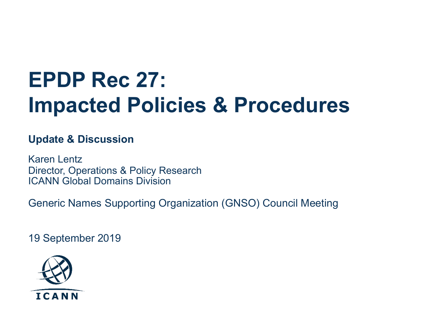# **EPDP Rec 27: Impacted Policies & Procedures**

#### **Update & Discussion**

Karen Lentz Director, Operations & Policy Research ICANN Global Domains Division

Generic Names Supporting Organization (GNSO) Council Meeting

19 September 2019

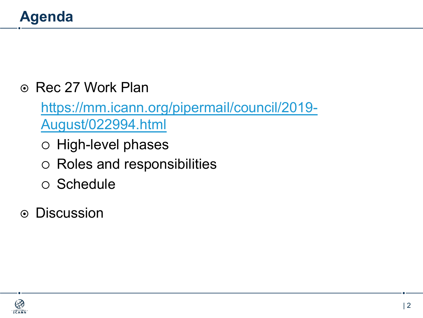## **Agenda**

### ◎ Rec 27 Work Plan

https://mm.icann.org/pipermail/council/2019- August/022994.html

- o High-level phases
- o Roles and responsibilities
- $\circ$  Schedule

 $\odot$  Discussion

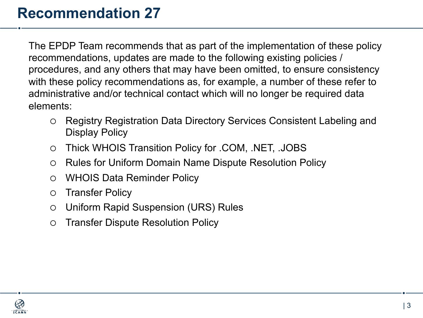### **Recommendation 27**

The EPDP Team recommends that as part of the implementation of these policy recommendations, updates are made to the following existing policies / procedures, and any others that may have been omitted, to ensure consistency with these policy recommendations as, for example, a number of these refer to administrative and/or technical contact which will no longer be required data elements:

- Registry Registration Data Directory Services Consistent Labeling and Display Policy
- ¡ Thick WHOIS Transition Policy for .COM, .NET, .JOBS
- Rules for Uniform Domain Name Dispute Resolution Policy
- **WHOIS Data Reminder Policy**
- **O** Transfer Policy
- $\circ$  Uniform Rapid Suspension (URS) Rules
- **O** Transfer Dispute Resolution Policy

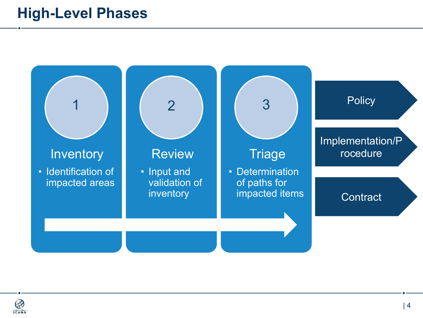### **High-Level Phases**

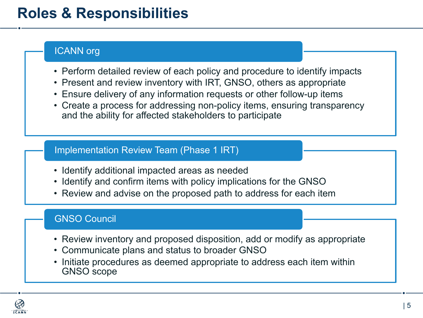### **Roles & Responsibilities**

#### ICANN org

- Perform detailed review of each policy and procedure to identify impacts
- Present and review inventory with IRT, GNSO, others as appropriate
- Ensure delivery of any information requests or other follow-up items
- Create a process for addressing non-policy items, ensuring transparency and the ability for affected stakeholders to participate

#### Implementation Review Team (Phase 1 IRT)

- Identify additional impacted areas as needed
- Identify and confirm items with policy implications for the GNSO
- Review and advise on the proposed path to address for each item

#### GNSO Council

- Review inventory and proposed disposition, add or modify as appropriate
- Communicate plans and status to broader GNSO
- Initiate procedures as deemed appropriate to address each item within GNSO scope

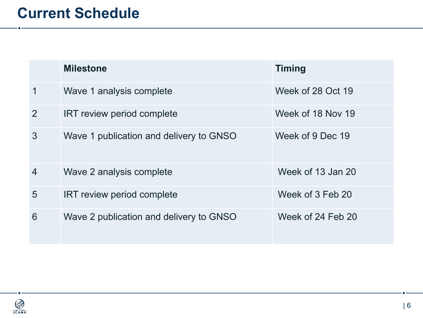|                | <b>Milestone</b>                        | <b>Timing</b>     |
|----------------|-----------------------------------------|-------------------|
| $\mathbf 1$    | Wave 1 analysis complete                | Week of 28 Oct 19 |
| 2              | IRT review period complete              | Week of 18 Nov 19 |
| 3              | Wave 1 publication and delivery to GNSO | Week of 9 Dec 19  |
| $\overline{4}$ | Wave 2 analysis complete                | Week of 13 Jan 20 |
| 5              | <b>IRT review period complete</b>       | Week of 3 Feb 20  |
| 6              | Wave 2 publication and delivery to GNSO | Week of 24 Feb 20 |